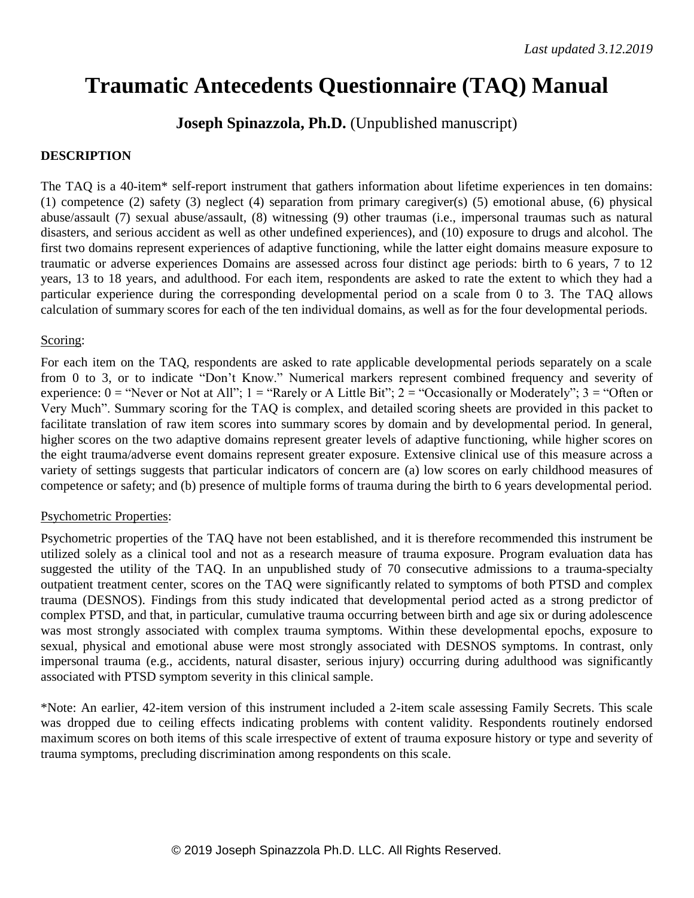#### **Traumatic Antecedents Questionnaire (TAQ) Manual**

**Joseph Spinazzola, Ph.D.** (Unpublished manuscript)

#### **DESCRIPTION**

The TAQ is a 40-item\* self-report instrument that gathers information about lifetime experiences in ten domains: (1) competence (2) safety (3) neglect (4) separation from primary caregiver(s) (5) emotional abuse, (6) physical abuse/assault (7) sexual abuse/assault, (8) witnessing (9) other traumas (i.e., impersonal traumas such as natural disasters, and serious accident as well as other undefined experiences), and (10) exposure to drugs and alcohol. The first two domains represent experiences of adaptive functioning, while the latter eight domains measure exposure to traumatic or adverse experiences Domains are assessed across four distinct age periods: birth to 6 years, 7 to 12 years, 13 to 18 years, and adulthood. For each item, respondents are asked to rate the extent to which they had a particular experience during the corresponding developmental period on a scale from 0 to 3. The TAQ allows calculation of summary scores for each of the ten individual domains, as well as for the four developmental periods.

#### Scoring:

For each item on the TAQ, respondents are asked to rate applicable developmental periods separately on a scale from 0 to 3, or to indicate "Don't Know." Numerical markers represent combined frequency and severity of experience:  $0 =$  "Never or Not at All";  $1 =$  "Rarely or A Little Bit";  $2 =$  "Occasionally or Moderately";  $3 =$  "Often or Very Much". Summary scoring for the TAQ is complex, and detailed scoring sheets are provided in this packet to facilitate translation of raw item scores into summary scores by domain and by developmental period. In general, higher scores on the two adaptive domains represent greater levels of adaptive functioning, while higher scores on the eight trauma/adverse event domains represent greater exposure. Extensive clinical use of this measure across a variety of settings suggests that particular indicators of concern are (a) low scores on early childhood measures of competence or safety; and (b) presence of multiple forms of trauma during the birth to 6 years developmental period.

#### Psychometric Properties:

Psychometric properties of the TAQ have not been established, and it is therefore recommended this instrument be utilized solely as a clinical tool and not as a research measure of trauma exposure. Program evaluation data has suggested the utility of the TAQ. In an unpublished study of 70 consecutive admissions to a trauma-specialty outpatient treatment center, scores on the TAQ were significantly related to symptoms of both PTSD and complex trauma (DESNOS). Findings from this study indicated that developmental period acted as a strong predictor of complex PTSD, and that, in particular, cumulative trauma occurring between birth and age six or during adolescence was most strongly associated with complex trauma symptoms. Within these developmental epochs, exposure to sexual, physical and emotional abuse were most strongly associated with DESNOS symptoms. In contrast, only impersonal trauma (e.g., accidents, natural disaster, serious injury) occurring during adulthood was significantly associated with PTSD symptom severity in this clinical sample.

\*Note: An earlier, 42-item version of this instrument included a 2-item scale assessing Family Secrets. This scale was dropped due to ceiling effects indicating problems with content validity. Respondents routinely endorsed maximum scores on both items of this scale irrespective of extent of trauma exposure history or type and severity of trauma symptoms, precluding discrimination among respondents on this scale.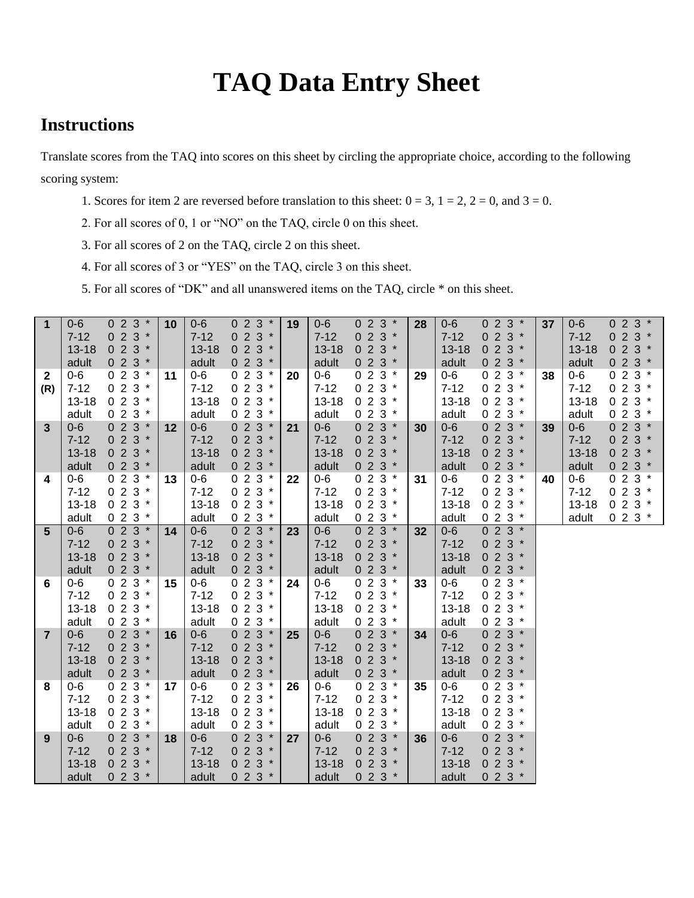## **TAQ Data Entry Sheet**

#### **Instructions**

Translate scores from the TAQ into scores on this sheet by circling the appropriate choice, according to the following scoring system:

- 1. Scores for item 2 are reversed before translation to this sheet:  $0 = 3$ ,  $1 = 2$ ,  $2 = 0$ , and  $3 = 0$ .
- 2. For all scores of 0, 1 or "NO" on the TAQ, circle 0 on this sheet.
- 3. For all scores of 2 on the TAQ, circle 2 on this sheet.
- 4. For all scores of 3 or "YES" on the TAQ, circle 3 on this sheet.
- 5. For all scores of "DK" and all unanswered items on the TAQ, circle \* on this sheet.

| $\overline{1}$ | $0-6$<br>$7 - 12$<br>$13 - 18$ | $023*$<br>$023*$<br>$023*$ | 10 | $0 - 6$<br>$7 - 12$<br>$13 - 18$ | $023*$<br>$023*$<br>$023*$ | 19 | $0-6$<br>$7 - 12$<br>$13 - 18$ | $023*$<br>$023*$<br>$023*$ | 28 | $0-6$<br>$7 - 12$<br>$13 - 18$ | $023*$<br>$023*$<br>$023*$ | 37 | $0-6$<br>$7 - 12$<br>$13 - 18$ | $023*$<br>$023*$<br>$023*$ |  |
|----------------|--------------------------------|----------------------------|----|----------------------------------|----------------------------|----|--------------------------------|----------------------------|----|--------------------------------|----------------------------|----|--------------------------------|----------------------------|--|
|                | adult                          | $023*$                     |    | adult                            | $023*$                     |    | adult                          | $023*$                     |    | adult                          | $023*$                     |    | adult                          | $023*$                     |  |
| $\mathbf{2}$   | $0-6$                          | $023*$                     | 11 | $0-6$                            | $023*$                     | 20 | $0-6$                          | $023*$                     | 29 | $0-6$                          | $023*$                     | 38 | $0-6$                          | $023*$                     |  |
| (R)            | $7 - 12$                       | $023*$                     |    | $7 - 12$                         | $023*$                     |    | $7 - 12$                       | $023*$                     |    | $7 - 12$                       | $023*$                     |    | $7 - 12$                       | $023*$                     |  |
|                | $13 - 18$                      | $023*$                     |    | $13 - 18$                        | $023*$                     |    | $13 - 18$                      | $023*$                     |    | $13 - 18$                      | $023*$                     |    | $13 - 18$                      | $023*$                     |  |
|                | adult                          | $023*$                     |    | adult                            | $023*$                     |    | adult                          | $023*$                     |    | adult                          | $023*$                     |    | adult                          | $023*$                     |  |
| 3              | $0-6$                          | $023*$                     | 12 | $0 - 6$                          | $023*$                     | 21 | $0-6$                          | $023*$                     | 30 | $0-6$                          | $023*$                     | 39 | $0 - 6$                        | $023*$                     |  |
|                | $7 - 12$                       | $023*$                     |    | $7 - 12$                         | $023*$                     |    | $7 - 12$                       | $023*$                     |    | $7 - 12$                       | $023*$                     |    | $7 - 12$                       | $023*$                     |  |
|                | $13 - 18$                      | $023*$                     |    | $13 - 18$                        | $023*$                     |    | $13 - 18$                      | $023*$                     |    | $13 - 18$                      | $023*$                     |    | $13 - 18$                      | $023*$                     |  |
|                | adult                          | $023*$                     |    | adult                            | $023*$                     |    | adult                          | $023*$                     |    | adult                          | $023*$                     |    | adult                          | $023*$                     |  |
| 4              | $0-6$                          | $023*$                     | 13 | $0-6$                            | $023*$                     | 22 | $0-6$                          | $023*$                     | 31 | $0-6$                          | $023*$                     | 40 | $0-6$                          | $023*$                     |  |
|                | $7 - 12$                       | $023*$                     |    | $7 - 12$                         | $023*$                     |    | $7 - 12$                       | $023*$                     |    | $7 - 12$                       | $023*$                     |    | $7 - 12$                       | $023*$                     |  |
|                | $13 - 18$                      | $023*$                     |    | $13 - 18$                        | $023*$                     |    | $13 - 18$                      | $023*$                     |    | $13 - 18$                      | $023*$                     |    | $13 - 18$                      | $023*$                     |  |
|                | adult                          | $023*$                     |    | adult                            | $023*$                     |    | adult                          | $023*$                     |    | adult                          | $023*$                     |    | adult                          | $023*$                     |  |
| 5              | $0 - 6$                        | $023*$                     | 14 | $0-6$                            | $023*$                     | 23 | $0-6$                          | $023*$                     | 32 | $0-6$                          | $023*$                     |    |                                |                            |  |
|                | $7 - 12$                       | $023*$                     |    | $7 - 12$                         | $023*$                     |    | $7 - 12$                       | $023*$                     |    | $7 - 12$                       | $023*$                     |    |                                |                            |  |
|                | $13 - 18$                      | $023*$                     |    | $13 - 18$                        | $023*$                     |    | $13 - 18$                      | $023*$                     |    | $13 - 18$                      | $023*$                     |    |                                |                            |  |
|                | adult                          | $023*$                     |    | adult                            | $023*$                     |    | adult                          | $023*$                     |    | adult                          | $023*$                     |    |                                |                            |  |
| 6              | $0-6$                          | $023*$                     | 15 | $0-6$                            | $023*$                     | 24 | $0-6$                          | $023*$                     | 33 | $0-6$                          | $023*$                     |    |                                |                            |  |
|                | $7 - 12$                       | $023*$                     |    | $7 - 12$                         | $023*$                     |    | $7 - 12$                       | $023*$                     |    | $7 - 12$                       | $023*$                     |    |                                |                            |  |
|                | $13 - 18$                      | $023*$                     |    | $13 - 18$                        | $023*$                     |    | $13 - 18$                      | $023*$<br>$023*$           |    | $13 - 18$                      | $023*$                     |    |                                |                            |  |
| $\overline{7}$ | adult<br>$0-6$                 | $023*$<br>$023*$           |    | adult<br>$0-6$                   | $023*$<br>$0 \ 2 \ 3 *$    |    | adult<br>$0-6$                 | $023*$                     |    | adult<br>$0-6$                 | $023*$<br>$023*$           |    |                                |                            |  |
|                | $7 - 12$                       | $023*$                     | 16 | $7 - 12$                         | $023*$                     | 25 | $7 - 12$                       | $023*$                     | 34 | $7 - 12$                       | $023*$                     |    |                                |                            |  |
|                | $13 - 18$                      | $023*$                     |    | $13 - 18$                        | $023*$                     |    | $13 - 18$                      | $023*$                     |    | $13 - 18$                      | $023*$                     |    |                                |                            |  |
|                | adult                          | $023*$                     |    | adult                            | $023*$                     |    | adult                          | $023*$                     |    | adult                          | $023*$                     |    |                                |                            |  |
| 8              | $0-6$                          | $023*$                     | 17 | $0-6$                            | $023*$                     | 26 | $0-6$                          | $023*$                     | 35 | $0-6$                          | $023*$                     |    |                                |                            |  |
|                | $7 - 12$                       | $023*$                     |    | $7 - 12$                         | $023*$                     |    | $7 - 12$                       | $023*$                     |    | $7 - 12$                       | $023*$                     |    |                                |                            |  |
|                | $13 - 18$                      | $023*$                     |    | $13 - 18$                        | $023*$                     |    | $13 - 18$                      | $023*$                     |    | $13 - 18$                      | $023*$                     |    |                                |                            |  |
|                | adult                          | $023*$                     |    | adult                            | $023*$                     |    | adult                          | $023*$                     |    | adult                          | $023*$                     |    |                                |                            |  |
| 9              | $0 - 6$                        | $023*$                     | 18 | $0 - 6$                          | $023*$                     | 27 | $0 - 6$                        | $023*$                     | 36 | $0-6$                          | $023*$                     |    |                                |                            |  |
|                | $7 - 12$                       | $023*$                     |    | $7 - 12$                         | $023*$                     |    | $7 - 12$                       | $023*$                     |    | $7 - 12$                       | $023*$                     |    |                                |                            |  |
|                | $13 - 18$                      | $023*$                     |    | $13 - 18$                        | $023*$                     |    | $13 - 18$                      | $023*$                     |    | $13 - 18$                      | $023*$                     |    |                                |                            |  |
|                | adult                          | $023*$                     |    | adult                            | $023*$                     |    | adult                          | $023*$                     |    | adult                          | $023*$                     |    |                                |                            |  |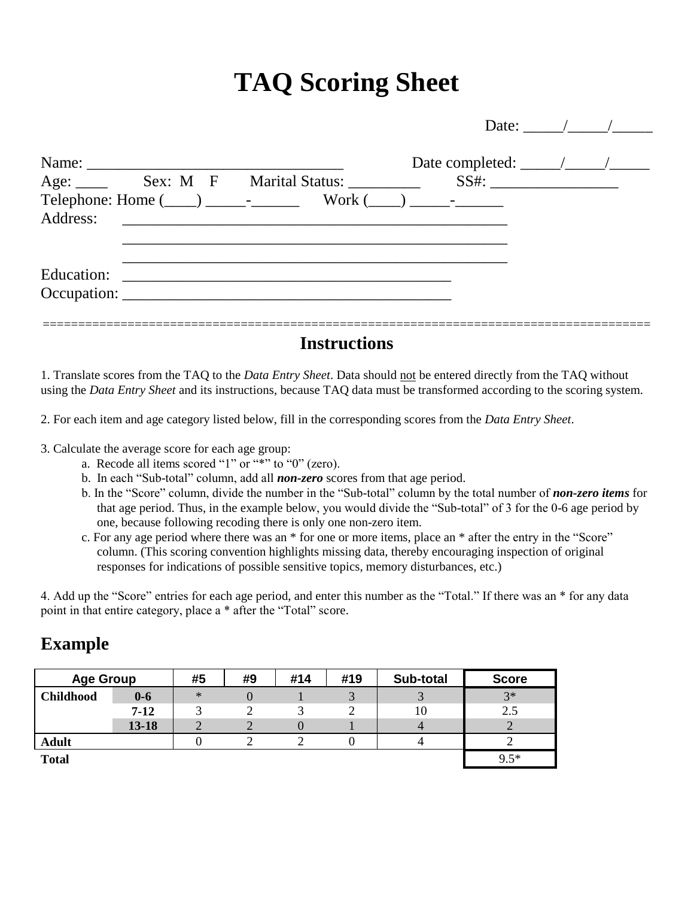# **TAQ Scoring Sheet**

|                           |                                                                  |                                      | Date: $\frac{1}{\sqrt{1-\frac{1}{2}}}\frac{1}{\sqrt{1-\frac{1}{2}}}}$ |
|---------------------------|------------------------------------------------------------------|--------------------------------------|-----------------------------------------------------------------------|
|                           |                                                                  | Date completed: $\frac{\sqrt{2}}{2}$ |                                                                       |
|                           |                                                                  |                                      |                                                                       |
| Address:                  |                                                                  |                                      |                                                                       |
| Education:<br>Occupation: | <u> 1980 - Jan James James Barnett, fransk politik (d. 1980)</u> |                                      |                                                                       |
|                           | Instructions                                                     |                                      |                                                                       |

1. Translate scores from the TAQ to the *Data Entry Sheet*. Data should not be entered directly from the TAQ without using the *Data Entry Sheet* and its instructions, because TAQ data must be transformed according to the scoring system.

2. For each item and age category listed below, fill in the corresponding scores from the *Data Entry Sheet*.

- 3. Calculate the average score for each age group:
	- a. Recode all items scored "1" or "\*" to "0" (zero).
	- b. In each "Sub-total" column, add all *non-zero* scores from that age period.
	- b. In the "Score" column, divide the number in the "Sub-total" column by the total number of *non-zero items* for that age period. Thus, in the example below, you would divide the "Sub-total" of 3 for the 0-6 age period by one, because following recoding there is only one non-zero item.
	- c. For any age period where there was an \* for one or more items, place an \* after the entry in the "Score" column. (This scoring convention highlights missing data, thereby encouraging inspection of original responses for indications of possible sensitive topics, memory disturbances, etc.)

4. Add up the "Score" entries for each age period, and enter this number as the "Total." If there was an \* for any data point in that entire category, place a \* after the "Total" score.

| <b>Age Group</b>          |           | #5     | #9 | #14 | #19 | Sub-total | <b>Score</b> |
|---------------------------|-----------|--------|----|-----|-----|-----------|--------------|
| <b>Childhood</b><br>$0-6$ |           | $\ast$ |    |     |     |           | $3*$         |
|                           | $7 - 12$  |        | ∸  |     |     | 10        | 2.5          |
|                           | $13 - 18$ |        |    |     |     |           |              |
| <b>Adult</b>              |           |        |    |     |     |           |              |
| <b>Total</b>              |           |        |    |     |     |           | $9.5*$       |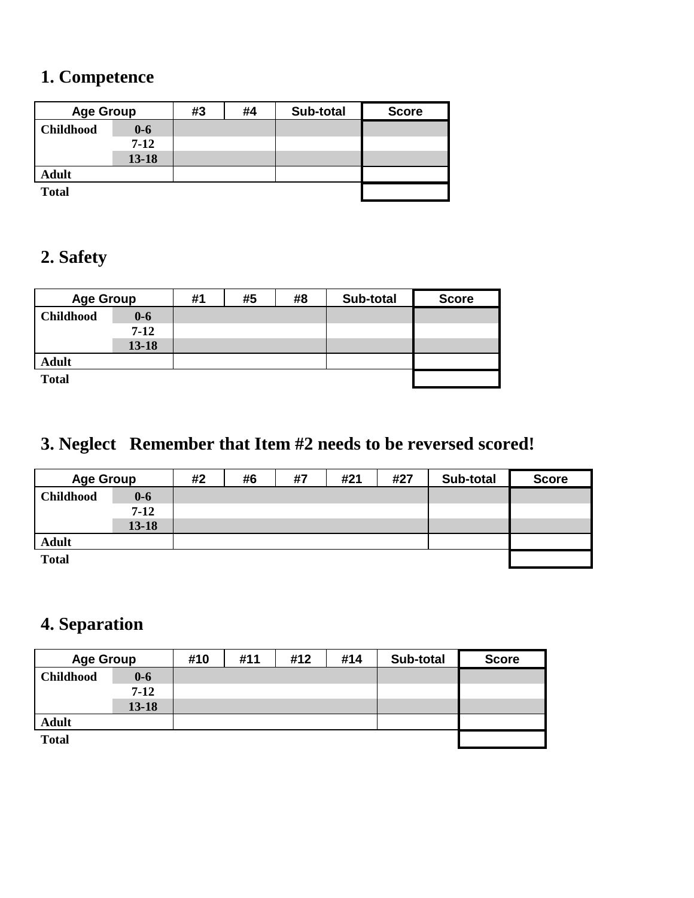#### **1. Competence**

| <b>Age Group</b>          |           | #3 | #4 | Sub-total | <b>Score</b> |
|---------------------------|-----------|----|----|-----------|--------------|
| <b>Childhood</b><br>$0-6$ |           |    |    |           |              |
| $7-12$                    |           |    |    |           |              |
|                           | $13 - 18$ |    |    |           |              |
| <b>Adult</b>              |           |    |    |           |              |
| <b>Total</b>              |           |    |    |           |              |

#### **2. Safety**

| <b>Age Group</b> |           | #1 | #5 | #8 | Sub-total | <b>Score</b> |
|------------------|-----------|----|----|----|-----------|--------------|
| <b>Childhood</b> | $0 - 6$   |    |    |    |           |              |
| $7-12$           |           |    |    |    |           |              |
|                  | $13 - 18$ |    |    |    |           |              |
| <b>Adult</b>     |           |    |    |    |           |              |
| <b>Total</b>     |           |    |    |    |           |              |

## **3. Neglect Remember that Item #2 needs to be reversed scored!**

| <b>Age Group</b> |           | #2 | #6 | #7 | #21 | #27 | Sub-total | <b>Score</b> |
|------------------|-----------|----|----|----|-----|-----|-----------|--------------|
| <b>Childhood</b> | $0-6$     |    |    |    |     |     |           |              |
|                  | $7-12$    |    |    |    |     |     |           |              |
|                  | $13 - 18$ |    |    |    |     |     |           |              |
| <b>Adult</b>     |           |    |    |    |     |     |           |              |
| <b>Total</b>     |           |    |    |    |     |     |           |              |

#### **4. Separation**

| <b>Age Group</b>          |           | #10 | #11 | #12 | #14 | Sub-total | <b>Score</b> |
|---------------------------|-----------|-----|-----|-----|-----|-----------|--------------|
| <b>Childhood</b><br>$0-6$ |           |     |     |     |     |           |              |
|                           | $7-12$    |     |     |     |     |           |              |
|                           | $13 - 18$ |     |     |     |     |           |              |
| <b>Adult</b>              |           |     |     |     |     |           |              |
| <b>Total</b>              |           |     |     |     |     |           |              |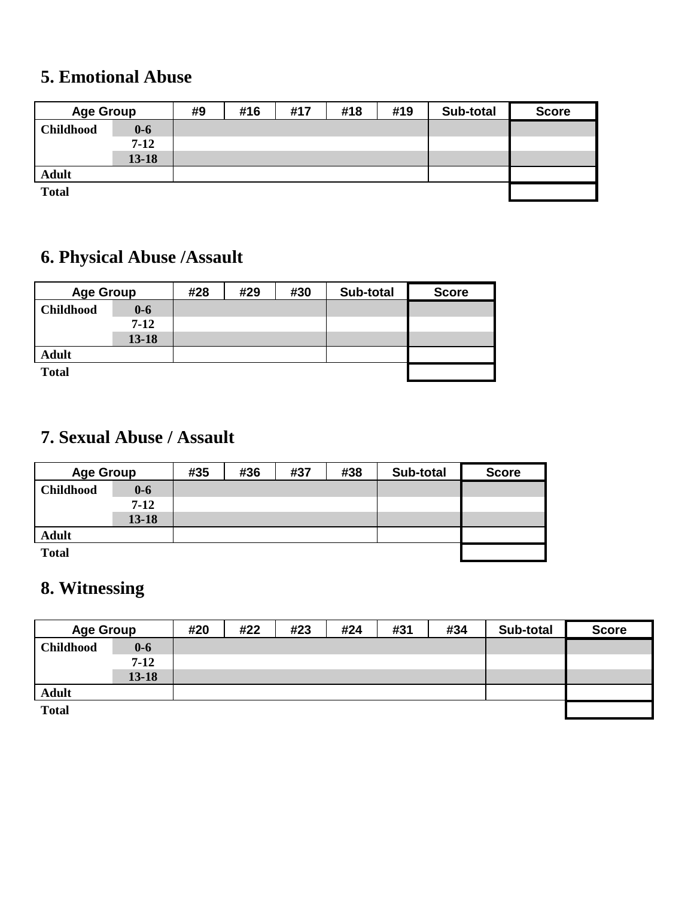#### **5. Emotional Abuse**

| <b>Age Group</b> |           | #9 | #16 | #17 | #18 | #19 | Sub-total | <b>Score</b> |
|------------------|-----------|----|-----|-----|-----|-----|-----------|--------------|
| <b>Childhood</b> | $0 - 6$   |    |     |     |     |     |           |              |
|                  | $7-12$    |    |     |     |     |     |           |              |
|                  | $13 - 18$ |    |     |     |     |     |           |              |
| <b>Adult</b>     |           |    |     |     |     |     |           |              |
| <b>Total</b>     |           |    |     |     |     |     |           |              |

## **6. Physical Abuse /Assault**

| <b>Age Group</b>            |           | #28 | #29 | #30 | Sub-total | <b>Score</b> |
|-----------------------------|-----------|-----|-----|-----|-----------|--------------|
| <b>Childhood</b><br>$0 - 6$ |           |     |     |     |           |              |
|                             | $7 - 12$  |     |     |     |           |              |
|                             | $13 - 18$ |     |     |     |           |              |
| <b>Adult</b>                |           |     |     |     |           |              |
| <b>Total</b>                |           |     |     |     |           |              |

#### **7. Sexual Abuse / Assault**

| <b>Age Group</b> |           | #35 | #36 | #37 | #38 | Sub-total | <b>Score</b> |
|------------------|-----------|-----|-----|-----|-----|-----------|--------------|
| <b>Childhood</b> | $0 - 6$   |     |     |     |     |           |              |
|                  | $7-12$    |     |     |     |     |           |              |
|                  | $13 - 18$ |     |     |     |     |           |              |
| <b>Adult</b>     |           |     |     |     |     |           |              |
| <b>Total</b>     |           |     |     |     |     |           |              |

#### **8. Witnessing**

| <b>Age Group</b> |           | #20 | #22 | #23 | #24 | #31 | #34 | Sub-total | <b>Score</b> |
|------------------|-----------|-----|-----|-----|-----|-----|-----|-----------|--------------|
| <b>Childhood</b> | $0-6$     |     |     |     |     |     |     |           |              |
|                  | $7 - 12$  |     |     |     |     |     |     |           |              |
|                  | $13 - 18$ |     |     |     |     |     |     |           |              |
| <b>Adult</b>     |           |     |     |     |     |     |     |           |              |
| <b>Total</b>     |           |     |     |     |     |     |     |           |              |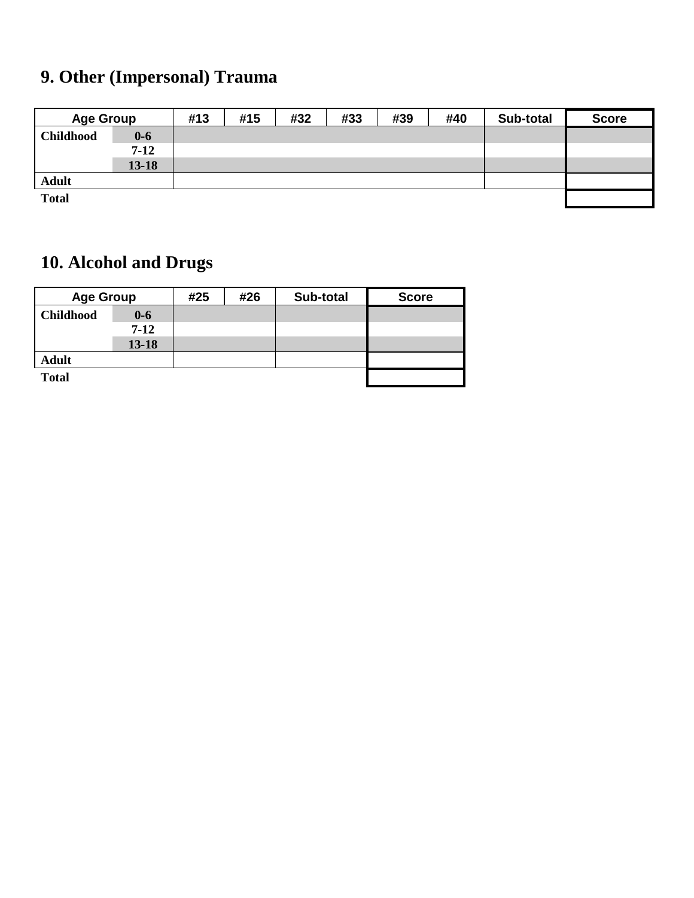## **9. Other (Impersonal) Trauma**

| <b>Age Group</b> |           | #13 | #15 | #32 | #33 | #39 | #40 | Sub-total | <b>Score</b> |
|------------------|-----------|-----|-----|-----|-----|-----|-----|-----------|--------------|
| <b>Childhood</b> | $0-6$     |     |     |     |     |     |     |           |              |
|                  | $7-12$    |     |     |     |     |     |     |           |              |
|                  | $13 - 18$ |     |     |     |     |     |     |           |              |
| <b>Adult</b>     |           |     |     |     |     |     |     |           |              |
| <b>Total</b>     |           |     |     |     |     |     |     |           |              |

## **10. Alcohol and Drugs**

| <b>Age Group</b> |           | #25 | #26 | Sub-total | <b>Score</b> |  |
|------------------|-----------|-----|-----|-----------|--------------|--|
| <b>Childhood</b> | $0-6$     |     |     |           |              |  |
|                  | $7-12$    |     |     |           |              |  |
|                  | $13 - 18$ |     |     |           |              |  |
| <b>Adult</b>     |           |     |     |           |              |  |
| <b>Total</b>     |           |     |     |           |              |  |